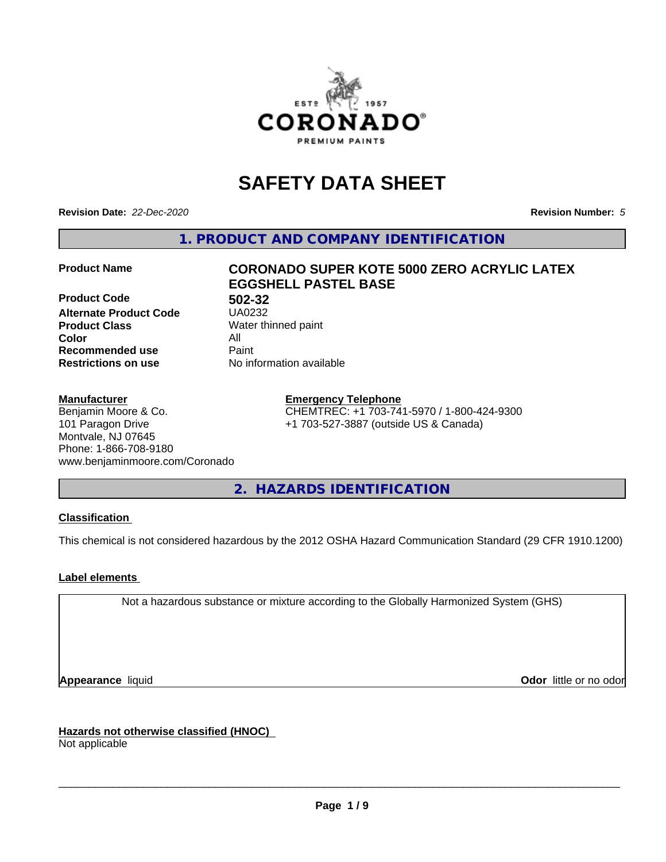

# **SAFETY DATA SHEET**

**Revision Date:** *22-Dec-2020* **Revision Number:** *5*

**1. PRODUCT AND COMPANY IDENTIFICATION**

**Product Code 61 1892-32**<br>**Alternate Product Code 61 150232 Alternate Product Code Product Class** Water thinned paint<br> **Color** All **Color** All **Recommended use Caint Restrictions on use** No information available

# **Product Name CORONADO SUPER KOTE 5000 ZERO ACRYLIC LATEX EGGSHELL PASTEL BASE**

# **Manufacturer**

Benjamin Moore & Co. 101 Paragon Drive Montvale, NJ 07645 Phone: 1-866-708-9180 www.benjaminmoore.com/Coronado

# **Emergency Telephone**

CHEMTREC: +1 703-741-5970 / 1-800-424-9300 +1 703-527-3887 (outside US & Canada)

**2. HAZARDS IDENTIFICATION**

# **Classification**

This chemical is not considered hazardous by the 2012 OSHA Hazard Communication Standard (29 CFR 1910.1200)

# **Label elements**

Not a hazardous substance or mixture according to the Globally Harmonized System (GHS)

**Appearance** liquid **Contract Contract Contract Contract Contract Contract Contract Contract Contract Contract Contract Contract Contract Contract Contract Contract Contract Contract Contract Contract Contract Contract Con** 

**Hazards not otherwise classified (HNOC)**

Not applicable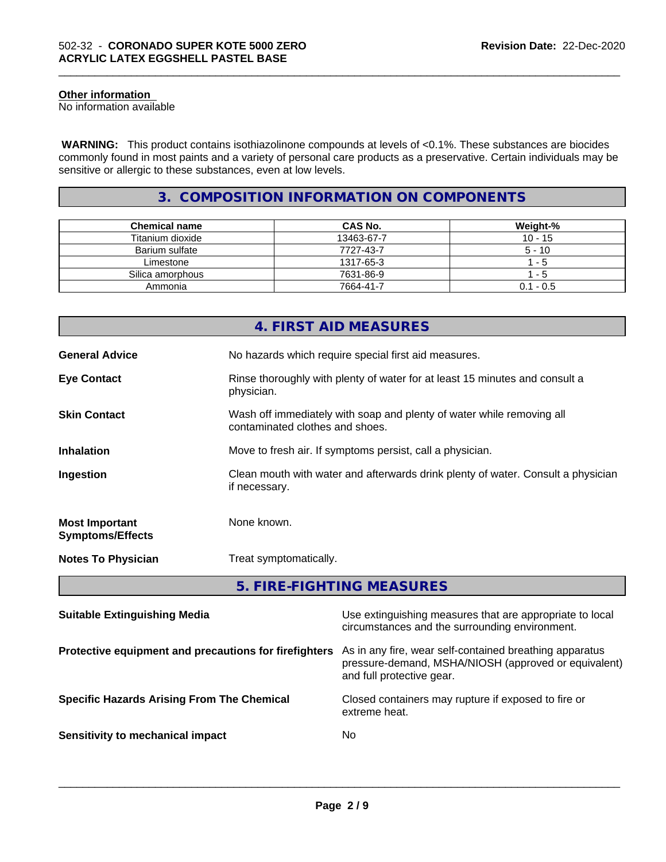# **Other information**

No information available

 **WARNING:** This product contains isothiazolinone compounds at levels of <0.1%. These substances are biocides commonly found in most paints and a variety of personal care products as a preservative. Certain individuals may be sensitive or allergic to these substances, even at low levels.

\_\_\_\_\_\_\_\_\_\_\_\_\_\_\_\_\_\_\_\_\_\_\_\_\_\_\_\_\_\_\_\_\_\_\_\_\_\_\_\_\_\_\_\_\_\_\_\_\_\_\_\_\_\_\_\_\_\_\_\_\_\_\_\_\_\_\_\_\_\_\_\_\_\_\_\_\_\_\_\_\_\_\_\_\_\_\_\_\_\_\_\_\_

# **3. COMPOSITION INFORMATION ON COMPONENTS**

| <b>Chemical name</b> | <b>CAS No.</b> | Weight-%    |
|----------------------|----------------|-------------|
| Titanium dioxide     | 13463-67-7     | $10 - 15$   |
| Barium sulfate       | 7727-43-7      | $5 - 10$    |
| Limestone            | 1317-65-3      | - 5         |
| Silica amorphous     | 7631-86-9      | - 5         |
| Ammonia              | 7664-41-7      | $0.1 - 0.5$ |

|                                                  | 4. FIRST AID MEASURES                                                                                    |
|--------------------------------------------------|----------------------------------------------------------------------------------------------------------|
| <b>General Advice</b>                            | No hazards which require special first aid measures.                                                     |
| <b>Eye Contact</b>                               | Rinse thoroughly with plenty of water for at least 15 minutes and consult a<br>physician.                |
| <b>Skin Contact</b>                              | Wash off immediately with soap and plenty of water while removing all<br>contaminated clothes and shoes. |
| <b>Inhalation</b>                                | Move to fresh air. If symptoms persist, call a physician.                                                |
| Ingestion                                        | Clean mouth with water and afterwards drink plenty of water. Consult a physician<br>if necessary.        |
| <b>Most Important</b><br><b>Symptoms/Effects</b> | None known.                                                                                              |
| <b>Notes To Physician</b>                        | Treat symptomatically.                                                                                   |
|                                                  | 5. FIRE-FIGHTING MEASURES                                                                                |

| <b>Suitable Extinguishing Media</b>                   | Use extinguishing measures that are appropriate to local<br>circumstances and the surrounding environment.                                   |
|-------------------------------------------------------|----------------------------------------------------------------------------------------------------------------------------------------------|
| Protective equipment and precautions for firefighters | As in any fire, wear self-contained breathing apparatus<br>pressure-demand, MSHA/NIOSH (approved or equivalent)<br>and full protective gear. |
| <b>Specific Hazards Arising From The Chemical</b>     | Closed containers may rupture if exposed to fire or<br>extreme heat.                                                                         |
| Sensitivity to mechanical impact                      | No.                                                                                                                                          |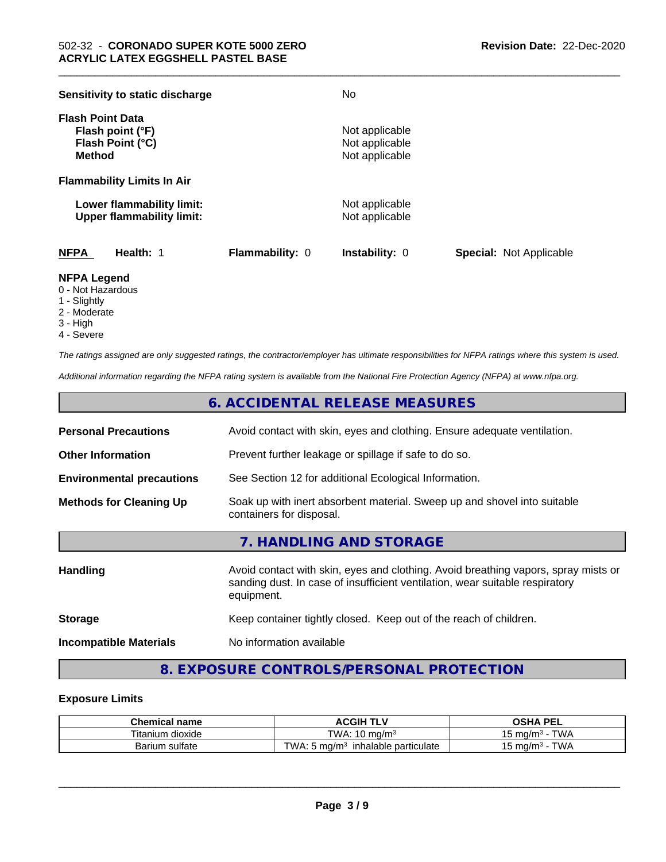| Sensitivity to static discharge                                                  |                        | No                                                 |                                |
|----------------------------------------------------------------------------------|------------------------|----------------------------------------------------|--------------------------------|
| <b>Flash Point Data</b><br>Flash point (°F)<br>Flash Point (°C)<br><b>Method</b> |                        | Not applicable<br>Not applicable<br>Not applicable |                                |
| <b>Flammability Limits In Air</b>                                                |                        |                                                    |                                |
| Lower flammability limit:<br><b>Upper flammability limit:</b>                    |                        | Not applicable<br>Not applicable                   |                                |
| <b>NFPA</b><br>Health: 1                                                         | <b>Flammability: 0</b> | <b>Instability: 0</b>                              | <b>Special: Not Applicable</b> |

\_\_\_\_\_\_\_\_\_\_\_\_\_\_\_\_\_\_\_\_\_\_\_\_\_\_\_\_\_\_\_\_\_\_\_\_\_\_\_\_\_\_\_\_\_\_\_\_\_\_\_\_\_\_\_\_\_\_\_\_\_\_\_\_\_\_\_\_\_\_\_\_\_\_\_\_\_\_\_\_\_\_\_\_\_\_\_\_\_\_\_\_\_

# **NFPA Legend**

- 0 Not Hazardous
- 1 Slightly
- 2 Moderate
- 3 High
- 4 Severe

*The ratings assigned are only suggested ratings, the contractor/employer has ultimate responsibilities for NFPA ratings where this system is used.*

*Additional information regarding the NFPA rating system is available from the National Fire Protection Agency (NFPA) at www.nfpa.org.*

# **6. ACCIDENTAL RELEASE MEASURES**

| <b>Personal Precautions</b>      | Avoid contact with skin, eyes and clothing. Ensure adequate ventilation.                                                                                                         |
|----------------------------------|----------------------------------------------------------------------------------------------------------------------------------------------------------------------------------|
| <b>Other Information</b>         | Prevent further leakage or spillage if safe to do so.                                                                                                                            |
| <b>Environmental precautions</b> | See Section 12 for additional Ecological Information.                                                                                                                            |
| <b>Methods for Cleaning Up</b>   | Soak up with inert absorbent material. Sweep up and shovel into suitable<br>containers for disposal.                                                                             |
|                                  | 7. HANDLING AND STORAGE                                                                                                                                                          |
| <b>Handling</b>                  | Avoid contact with skin, eyes and clothing. Avoid breathing vapors, spray mists or<br>sanding dust. In case of insufficient ventilation, wear suitable respiratory<br>equipment. |
| <b>Storage</b>                   | Keep container tightly closed. Keep out of the reach of children.                                                                                                                |
| <b>Incompatible Materials</b>    | No information available                                                                                                                                                         |

# **8. EXPOSURE CONTROLS/PERSONAL PROTECTION**

# **Exposure Limits**

| <b>Chemical</b><br>name | <b>ACGIH TLV</b>                                      | <b>OSHA</b><br>. PFI<br>. .           |
|-------------------------|-------------------------------------------------------|---------------------------------------|
| $-$<br>Titanium dioxide | TWA.<br>$\overline{A}$<br>ma/m <sup>3</sup><br>- 10 i | T111<br>ം mg/mೈ<br>VV <i>F</i>        |
| sulfate<br>Barium       | TWA.<br>, ma/m<br>inhalable particulate               | T111<br>∵ma/m ر<br>. VV <i>F</i><br>◡ |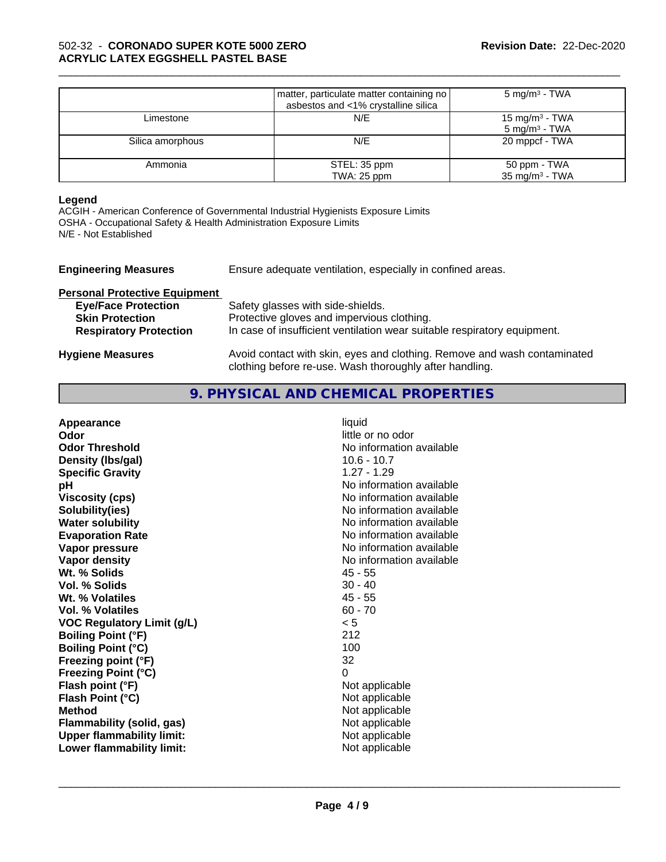|                  | matter, particulate matter containing no<br>asbestos and <1% crystalline silica | $5 \text{ mg/m}^3$ - TWA                      |
|------------------|---------------------------------------------------------------------------------|-----------------------------------------------|
| Limestone        | N/E                                                                             | 15 mg/m $3$ - TWA<br>$5 \text{ mg/m}^3$ - TWA |
| Silica amorphous | N/E                                                                             | 20 mppcf - TWA                                |
| Ammonia          | STEL: 35 ppm<br>TWA: 25 ppm                                                     | 50 ppm - TWA<br>$35 \text{ mg/m}^3$ - TWA     |

\_\_\_\_\_\_\_\_\_\_\_\_\_\_\_\_\_\_\_\_\_\_\_\_\_\_\_\_\_\_\_\_\_\_\_\_\_\_\_\_\_\_\_\_\_\_\_\_\_\_\_\_\_\_\_\_\_\_\_\_\_\_\_\_\_\_\_\_\_\_\_\_\_\_\_\_\_\_\_\_\_\_\_\_\_\_\_\_\_\_\_\_\_

#### **Legend**

ACGIH - American Conference of Governmental Industrial Hygienists Exposure Limits OSHA - Occupational Safety & Health Administration Exposure Limits N/E - Not Established

| <b>Engineering Measures</b>          | Ensure adequate ventilation, especially in confined areas.                                                                          |
|--------------------------------------|-------------------------------------------------------------------------------------------------------------------------------------|
| <b>Personal Protective Equipment</b> |                                                                                                                                     |
| <b>Eye/Face Protection</b>           | Safety glasses with side-shields.                                                                                                   |
| <b>Skin Protection</b>               | Protective gloves and impervious clothing.                                                                                          |
| <b>Respiratory Protection</b>        | In case of insufficient ventilation wear suitable respiratory equipment.                                                            |
| <b>Hygiene Measures</b>              | Avoid contact with skin, eyes and clothing. Remove and wash contaminated<br>clothing before re-use. Wash thoroughly after handling. |

# **9. PHYSICAL AND CHEMICAL PROPERTIES**

| liquid<br>little or no odor<br>No information available<br>$10.6 - 10.7$<br>$1.27 - 1.29$<br>No information available<br>No information available<br>No information available<br>No information available<br>No information available<br>No information available<br>No information available<br>45 - 55<br>$30 - 40$<br>$45 - 55$<br>$60 - 70$<br>< 5<br>212<br>100<br>32<br>0<br>Not applicable<br>Not applicable<br>Not applicable<br>Not applicable |
|---------------------------------------------------------------------------------------------------------------------------------------------------------------------------------------------------------------------------------------------------------------------------------------------------------------------------------------------------------------------------------------------------------------------------------------------------------|
| Not applicable<br>Not applicable                                                                                                                                                                                                                                                                                                                                                                                                                        |
|                                                                                                                                                                                                                                                                                                                                                                                                                                                         |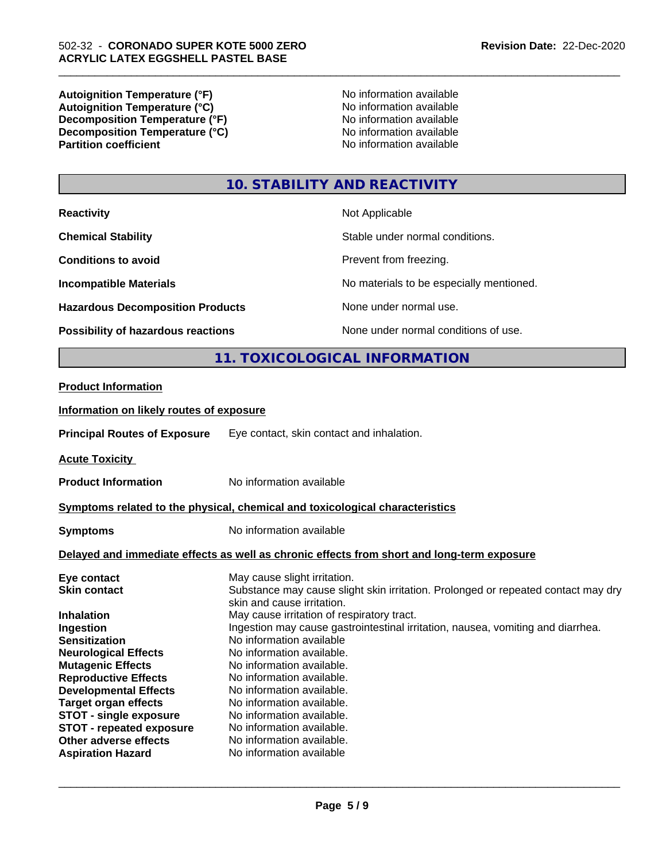**Autoignition Temperature (°F)**<br> **Autoignition Temperature (°C)** No information available Autoignition Temperature (°C)<br>
Decomposition Temperature (°F)<br>
No information available **Decomposition Temperature (°F) Decomposition Temperature (°C)**<br> **Partition coefficient**<br> **Partition coefficient**<br> **No** information available

**No information available** 

\_\_\_\_\_\_\_\_\_\_\_\_\_\_\_\_\_\_\_\_\_\_\_\_\_\_\_\_\_\_\_\_\_\_\_\_\_\_\_\_\_\_\_\_\_\_\_\_\_\_\_\_\_\_\_\_\_\_\_\_\_\_\_\_\_\_\_\_\_\_\_\_\_\_\_\_\_\_\_\_\_\_\_\_\_\_\_\_\_\_\_\_\_

# **10. STABILITY AND REACTIVITY**

| <b>Reactivity</b>                       | Not Applicable                           |
|-----------------------------------------|------------------------------------------|
| <b>Chemical Stability</b>               | Stable under normal conditions.          |
| <b>Conditions to avoid</b>              | Prevent from freezing.                   |
| <b>Incompatible Materials</b>           | No materials to be especially mentioned. |
| <b>Hazardous Decomposition Products</b> | None under normal use.                   |
| Possibility of hazardous reactions      | None under normal conditions of use.     |
| 11. TOXICOLOGICAL INFORMATION           |                                          |

# **Product Information**

# **Information on likely routes of exposure**

**Principal Routes of Exposure** Eye contact, skin contact and inhalation.

**Acute Toxicity** 

**Product Information** No information available

# **Symptoms related to the physical, chemical and toxicological characteristics**

**Symptoms** No information available

# **Delayed and immediate effects as well as chronic effects from short and long-term exposure**

| May cause slight irritation.                                                      |
|-----------------------------------------------------------------------------------|
| Substance may cause slight skin irritation. Prolonged or repeated contact may dry |
| skin and cause irritation.                                                        |
| May cause irritation of respiratory tract.                                        |
| Ingestion may cause gastrointestinal irritation, nausea, vomiting and diarrhea.   |
| No information available                                                          |
| No information available.                                                         |
| No information available.                                                         |
| No information available.                                                         |
| No information available.                                                         |
| No information available.                                                         |
| No information available.                                                         |
| No information available.                                                         |
| No information available.                                                         |
| No information available                                                          |
|                                                                                   |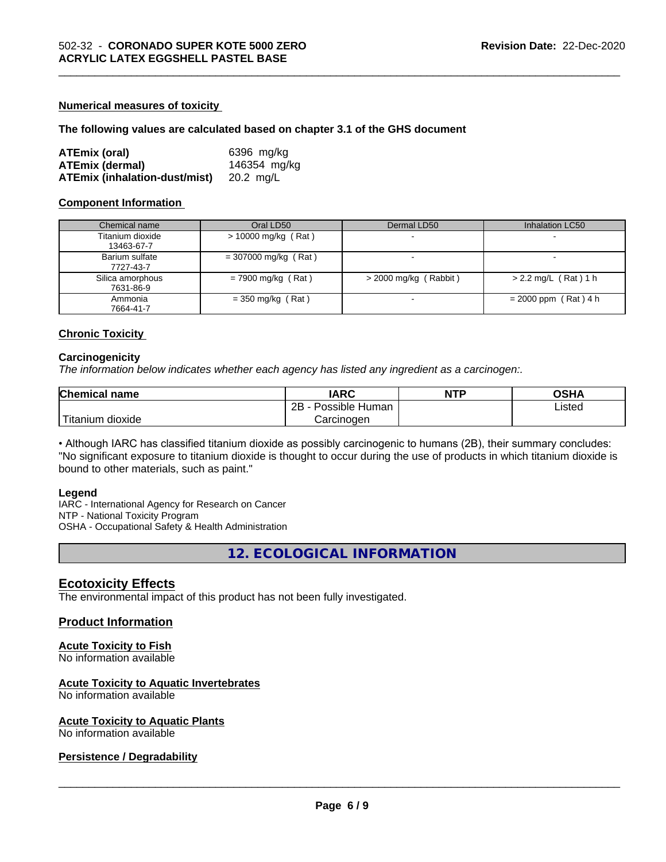#### **Numerical measures of toxicity**

#### **The following values are calculated based on chapter 3.1 of the GHS document**

| ATEmix (oral)                 | 6396 mg/ka   |
|-------------------------------|--------------|
| <b>ATEmix (dermal)</b>        | 146354 mg/kg |
| ATEmix (inhalation-dust/mist) | 20.2 ma/L    |

#### **Component Information**

| Chemical name                  | Oral LD50              | Dermal LD50             | Inhalation LC50          |
|--------------------------------|------------------------|-------------------------|--------------------------|
| Titanium dioxide<br>13463-67-7 | $> 10000$ mg/kg (Rat)  | $\sim$                  | $\overline{\phantom{0}}$ |
| Barium sulfate<br>7727-43-7    | $= 307000$ mg/kg (Rat) |                         | $\overline{\phantom{0}}$ |
| Silica amorphous<br>7631-86-9  | $= 7900$ mg/kg (Rat)   | $>$ 2000 mg/kg (Rabbit) | $> 2.2$ mg/L (Rat) 1 h   |
| Ammonia<br>7664-41-7           | $=$ 350 mg/kg (Rat)    |                         | $= 2000$ ppm (Rat) 4 h   |

\_\_\_\_\_\_\_\_\_\_\_\_\_\_\_\_\_\_\_\_\_\_\_\_\_\_\_\_\_\_\_\_\_\_\_\_\_\_\_\_\_\_\_\_\_\_\_\_\_\_\_\_\_\_\_\_\_\_\_\_\_\_\_\_\_\_\_\_\_\_\_\_\_\_\_\_\_\_\_\_\_\_\_\_\_\_\_\_\_\_\_\_\_

# **Chronic Toxicity**

#### **Carcinogenicity**

*The information below indicateswhether each agency has listed any ingredient as a carcinogen:.*

| Chemical<br>name                                                                                                                                | <b>IARC</b>               | <b>NTP</b> | <b>OSHA</b> |
|-------------------------------------------------------------------------------------------------------------------------------------------------|---------------------------|------------|-------------|
|                                                                                                                                                 | .<br>2B<br>Possible Human |            | Listed      |
| <b>The Contract of the Contract of the Contract of the Contract of the Contract of the Contract of the Contract o</b><br>n dioxide<br>l itanıum | Carcinoɑen                |            |             |

• Although IARC has classified titanium dioxide as possibly carcinogenic to humans (2B), their summary concludes: "No significant exposure to titanium dioxide is thought to occur during the use of products in which titanium dioxide is bound to other materials, such as paint."

#### **Legend**

IARC - International Agency for Research on Cancer NTP - National Toxicity Program OSHA - Occupational Safety & Health Administration

**12. ECOLOGICAL INFORMATION**

# **Ecotoxicity Effects**

The environmental impact of this product has not been fully investigated.

# **Product Information**

# **Acute Toxicity to Fish**

No information available

# **Acute Toxicity to Aquatic Invertebrates**

No information available

# **Acute Toxicity to Aquatic Plants**

No information available

# **Persistence / Degradability**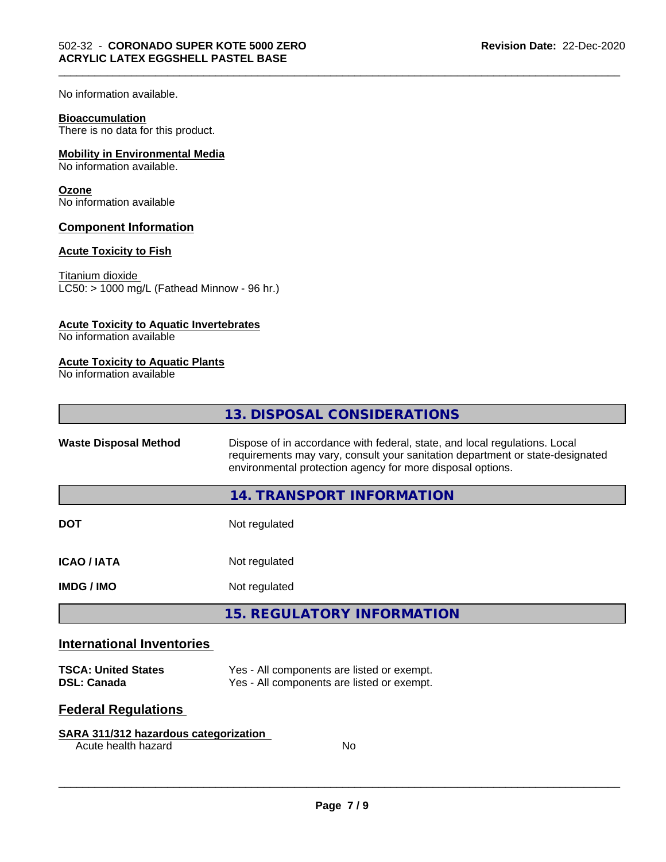No information available.

#### **Bioaccumulation**

There is no data for this product.

# **Mobility in Environmental Media**

No information available.

#### **Ozone**

No information available

# **Component Information**

# **Acute Toxicity to Fish**

Titanium dioxide  $LC50:$  > 1000 mg/L (Fathead Minnow - 96 hr.)

# **Acute Toxicity to Aquatic Invertebrates**

No information available

# **Acute Toxicity to Aquatic Plants**

No information available

|                                  | 13. DISPOSAL CONSIDERATIONS                                                                                                                                                                                               |
|----------------------------------|---------------------------------------------------------------------------------------------------------------------------------------------------------------------------------------------------------------------------|
| <b>Waste Disposal Method</b>     | Dispose of in accordance with federal, state, and local regulations. Local<br>requirements may vary, consult your sanitation department or state-designated<br>environmental protection agency for more disposal options. |
|                                  | 14. TRANSPORT INFORMATION                                                                                                                                                                                                 |
| <b>DOT</b>                       | Not regulated                                                                                                                                                                                                             |
| <b>ICAO/IATA</b>                 | Not regulated                                                                                                                                                                                                             |
| <b>IMDG/IMO</b>                  | Not regulated                                                                                                                                                                                                             |
|                                  | <b>15. REGULATORY INFORMATION</b>                                                                                                                                                                                         |
| <b>International Inventories</b> |                                                                                                                                                                                                                           |

\_\_\_\_\_\_\_\_\_\_\_\_\_\_\_\_\_\_\_\_\_\_\_\_\_\_\_\_\_\_\_\_\_\_\_\_\_\_\_\_\_\_\_\_\_\_\_\_\_\_\_\_\_\_\_\_\_\_\_\_\_\_\_\_\_\_\_\_\_\_\_\_\_\_\_\_\_\_\_\_\_\_\_\_\_\_\_\_\_\_\_\_\_

| <b>TSCA: United States</b> | Yes - All components are listed or exempt. |
|----------------------------|--------------------------------------------|
| <b>DSL: Canada</b>         | Yes - All components are listed or exempt. |

# **Federal Regulations**

# **SARA 311/312 hazardous categorization**

Acute health hazard No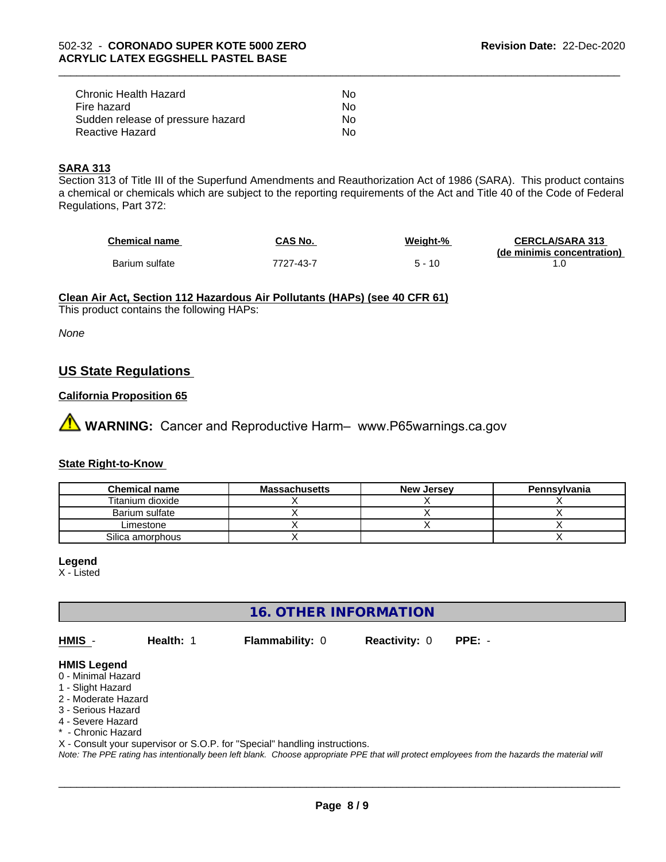| Chronic Health Hazard             | Nο |  |
|-----------------------------------|----|--|
| Fire hazard                       | N٥ |  |
| Sudden release of pressure hazard | Nο |  |
| Reactive Hazard                   | N٥ |  |

#### **SARA 313**

Section 313 of Title III of the Superfund Amendments and Reauthorization Act of 1986 (SARA). This product contains a chemical or chemicals which are subject to the reporting requirements of the Act and Title 40 of the Code of Federal Regulations, Part 372:

| <b>Chemical name</b> | CAS No.   | Weight-%    | <b>CERCLA/SARA 313</b>     |
|----------------------|-----------|-------------|----------------------------|
|                      |           |             | (de minimis concentration) |
| Barium sulfate       | 7727-43-7 | 10<br>$5 -$ |                            |

\_\_\_\_\_\_\_\_\_\_\_\_\_\_\_\_\_\_\_\_\_\_\_\_\_\_\_\_\_\_\_\_\_\_\_\_\_\_\_\_\_\_\_\_\_\_\_\_\_\_\_\_\_\_\_\_\_\_\_\_\_\_\_\_\_\_\_\_\_\_\_\_\_\_\_\_\_\_\_\_\_\_\_\_\_\_\_\_\_\_\_\_\_

#### **Clean Air Act,Section 112 Hazardous Air Pollutants (HAPs) (see 40 CFR 61)**

This product contains the following HAPs:

*None*

# **US State Regulations**

# **California Proposition 65**

**WARNING:** Cancer and Reproductive Harm– www.P65warnings.ca.gov

# **State Right-to-Know**

| <b>Chemical name</b> | <b>Massachusetts</b> | <b>New Jersey</b> | Pennsylvania |
|----------------------|----------------------|-------------------|--------------|
| Titanium dioxide     |                      |                   |              |
| Barium sulfate       |                      |                   |              |
| Limestone            |                      |                   |              |
| Silica amorphous     |                      |                   |              |

#### **Legend**

X - Listed

**16. OTHER INFORMATION**

**HMIS** - **Health:** 1 **Flammability:** 0 **Reactivity:** 0 **PPE:** -

 $\overline{\phantom{a}}$  ,  $\overline{\phantom{a}}$  ,  $\overline{\phantom{a}}$  ,  $\overline{\phantom{a}}$  ,  $\overline{\phantom{a}}$  ,  $\overline{\phantom{a}}$  ,  $\overline{\phantom{a}}$  ,  $\overline{\phantom{a}}$  ,  $\overline{\phantom{a}}$  ,  $\overline{\phantom{a}}$  ,  $\overline{\phantom{a}}$  ,  $\overline{\phantom{a}}$  ,  $\overline{\phantom{a}}$  ,  $\overline{\phantom{a}}$  ,  $\overline{\phantom{a}}$  ,  $\overline{\phantom{a}}$ 

#### **HMIS Legend**

- 0 Minimal Hazard
- 1 Slight Hazard
- 2 Moderate Hazard
- 3 Serious Hazard
- 4 Severe Hazard
- \* Chronic Hazard
- X Consult your supervisor or S.O.P. for "Special" handling instructions.

*Note: The PPE rating has intentionally been left blank. Choose appropriate PPE that will protect employees from the hazards the material will*